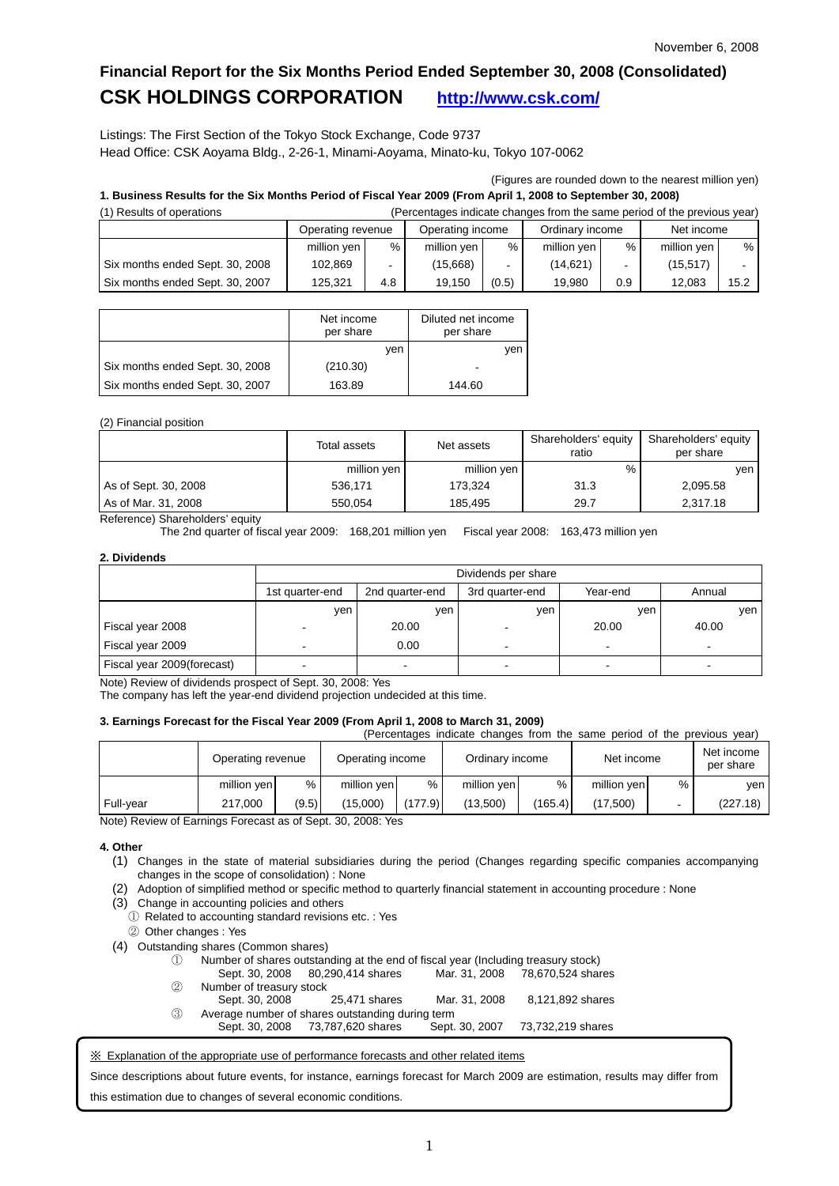# **Financial Report for the Six Months Period Ended September 30, 2008 (Consolidated) CSK HOLDINGS CORPORATION <http://www.csk.com/>**

Listings: The First Section of the Tokyo Stock Exchange, Code 9737 Head Office: CSK Aoyama Bldg., 2-26-1, Minami-Aoyama, Minato-ku, Tokyo 107-0062

(Figures are rounded down to the nearest million yen)

### **1. Business Results for the Six Months Period of Fiscal Year 2009 (From April 1, 2008 to September 30, 2008)**  (1) Results of operations (Percentages indicate changes from the same period of the previous year)

| <u>II Results OF ODETAILOITS</u> | $\mu$ creditages indicate changes from the same period of the previous year. |     |                  |       |                 |     |             |      |
|----------------------------------|------------------------------------------------------------------------------|-----|------------------|-------|-----------------|-----|-------------|------|
|                                  | Operating revenue                                                            |     | Operating income |       | Ordinary income |     | Net income  |      |
|                                  | million yen                                                                  | %   | million ven      | %     | million ven     | %   | million yen | %    |
| Six months ended Sept. 30, 2008  | 102.869                                                                      |     | (15.668)         |       | (14.621)        |     | (15,517)    |      |
| Six months ended Sept. 30, 2007  | 125.321                                                                      | 4.8 | 19.150           | (0.5) | 19.980          | 0.9 | 12.083      | 15.2 |

|                                 | Net income<br>per share | Diluted net income<br>per share |
|---------------------------------|-------------------------|---------------------------------|
|                                 | ven                     | ven                             |
| Six months ended Sept. 30, 2008 | (210.30)                |                                 |
| Six months ended Sept. 30, 2007 | 163.89                  | 144.60                          |

### (2) Financial position

|                      | Total assets | Net assets  | Shareholders' equity<br>ratio | Shareholders' equity<br>per share |  |
|----------------------|--------------|-------------|-------------------------------|-----------------------------------|--|
|                      | million yen  | million yen | %                             | ven                               |  |
| As of Sept. 30, 2008 | 536.171      | 173.324     | 31.3                          | 2,095.58                          |  |
| As of Mar. 31, 2008  | 550.054      | 185.495     | 29.7                          | 2,317.18                          |  |

Reference) Shareholders' equity

The 2nd quarter of fiscal year 2009: 168,201 million yen Fiscal year 2008: 163,473 million yen

### **2. Dividends**

|                            |                 | Dividends per share                            |     |       |       |  |  |  |
|----------------------------|-----------------|------------------------------------------------|-----|-------|-------|--|--|--|
|                            | 1st quarter-end | 2nd quarter-end<br>3rd quarter-end<br>Year-end |     |       |       |  |  |  |
|                            | yen,            | ven                                            | ven | ven   | ven   |  |  |  |
| Fiscal year 2008           |                 | 20.00                                          |     | 20.00 | 40.00 |  |  |  |
| Fiscal year 2009           |                 | 0.00                                           |     | -     | -     |  |  |  |
| Fiscal year 2009(forecast) |                 | $\overline{\phantom{a}}$                       |     |       |       |  |  |  |

Note) Review of dividends prospect of Sept. 30, 2008: Yes

The company has left the year-end dividend projection undecided at this time.

### **3. Earnings Forecast for the Fiscal Year 2009 (From April 1, 2008 to March 31, 2009)**

(Percentages indicate changes from the same period of the previous year)

|           | Operating revenue |       | Operating income |         | Ordinary income |         | Net income  |   | Net income<br>per share |
|-----------|-------------------|-------|------------------|---------|-----------------|---------|-------------|---|-------------------------|
|           | million yen       | %     | million yen      | %       | million yen     | %       | million yen | % | ven                     |
| Full-year | 217.000           | (9.5) | (15,000)         | (177.9) | (13.500)        | (165.4) | (17.500)    |   | (227.18)                |

Note) Review of Earnings Forecast as of Sept. 30, 2008: Yes

### **4. Other**

- (1) Changes in the state of material subsidiaries during the period (Changes regarding specific companies accompanying changes in the scope of consolidation) : None
- (2) Adoption of simplified method or specific method to quarterly financial statement in accounting procedure : None
- (3) Change in accounting policies and others
- ① Related to accounting standard revisions etc. : Yes
- ② Other changes : Yes
- (4) Outstanding shares (Common shares)
	- ① Number of shares outstanding at the end of fiscal year (Including treasury stock) Sept. 30, 2008 80, 290, 414 shares ② Number of treasury stock Sept. 30, 2008 25,471 shares Mar. 31, 2008 8,121,892 shares ③ Average number of shares outstanding during term Sept. 30, 2008 73,787,620 shares Sept. 30, 2007 73,732,219 shares

※ Explanation of the appropriate use of performance forecasts and other related items

Since descriptions about future events, for instance, earnings forecast for March 2009 are estimation, results may differ from this estimation due to changes of several economic conditions.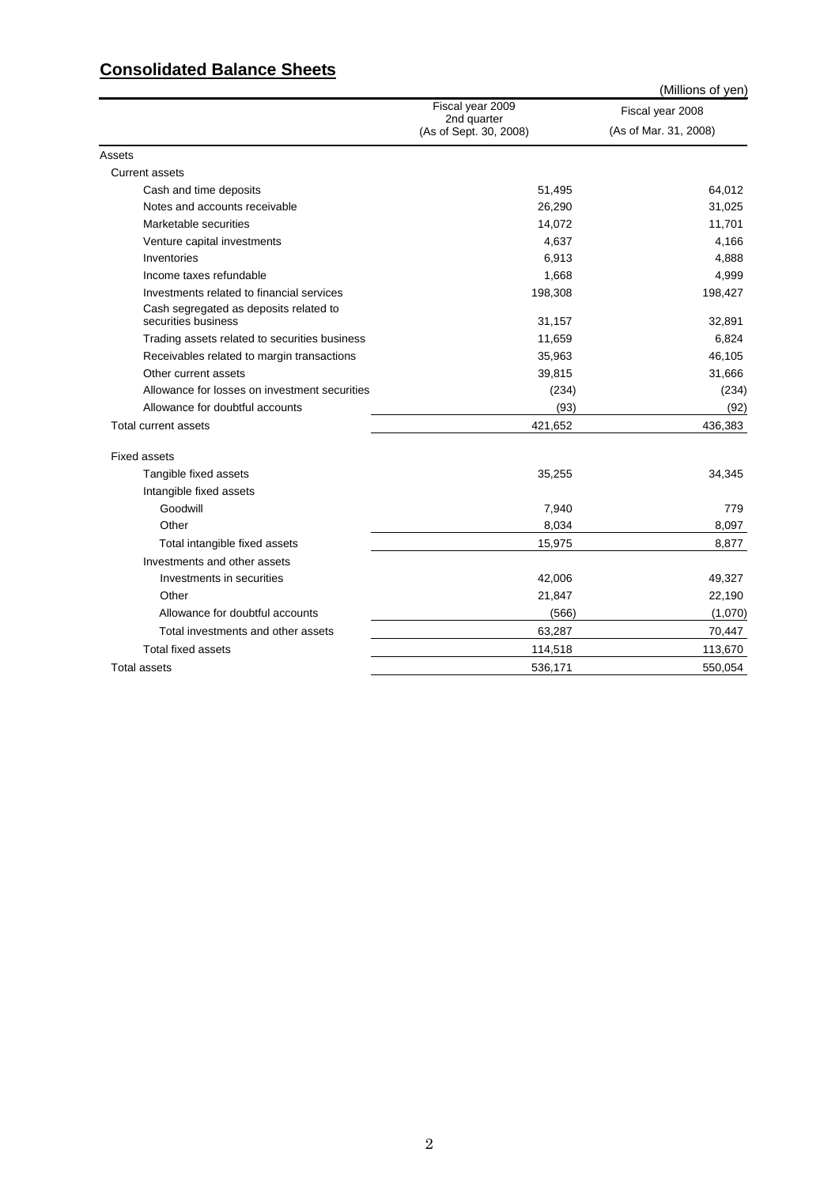## **Consolidated Balance Sheets**

|                                               |                                       | (Millions of yen)     |
|-----------------------------------------------|---------------------------------------|-----------------------|
|                                               | Fiscal year 2009                      | Fiscal year 2008      |
|                                               | 2nd quarter<br>(As of Sept. 30, 2008) | (As of Mar. 31, 2008) |
| Assets                                        |                                       |                       |
| <b>Current assets</b>                         |                                       |                       |
| Cash and time deposits                        | 51,495                                | 64,012                |
| Notes and accounts receivable                 | 26,290                                | 31,025                |
| Marketable securities                         | 14,072                                | 11,701                |
| Venture capital investments                   | 4,637                                 | 4,166                 |
| Inventories                                   | 6,913                                 | 4,888                 |
| Income taxes refundable                       | 1,668                                 | 4,999                 |
| Investments related to financial services     | 198,308                               | 198,427               |
| Cash segregated as deposits related to        |                                       |                       |
| securities business                           | 31,157                                | 32,891                |
| Trading assets related to securities business | 11,659                                | 6,824                 |
| Receivables related to margin transactions    | 35,963                                | 46,105                |
| Other current assets                          | 39,815                                | 31,666                |
| Allowance for losses on investment securities | (234)                                 | (234)                 |
| Allowance for doubtful accounts               | (93)                                  | (92)                  |
| Total current assets                          | 421,652                               | 436,383               |
| <b>Fixed assets</b>                           |                                       |                       |
| Tangible fixed assets                         | 35,255                                | 34,345                |
| Intangible fixed assets                       |                                       |                       |
| Goodwill                                      | 7,940                                 | 779                   |
| Other                                         | 8,034                                 | 8,097                 |
| Total intangible fixed assets                 | 15,975                                | 8,877                 |
| Investments and other assets                  |                                       |                       |
| Investments in securities                     | 42,006                                | 49,327                |
| Other                                         | 21,847                                | 22,190                |
| Allowance for doubtful accounts               | (566)                                 | (1,070)               |
| Total investments and other assets            | 63,287                                | 70,447                |
| <b>Total fixed assets</b>                     | 114,518                               | 113,670               |
| <b>Total assets</b>                           | 536,171                               | 550,054               |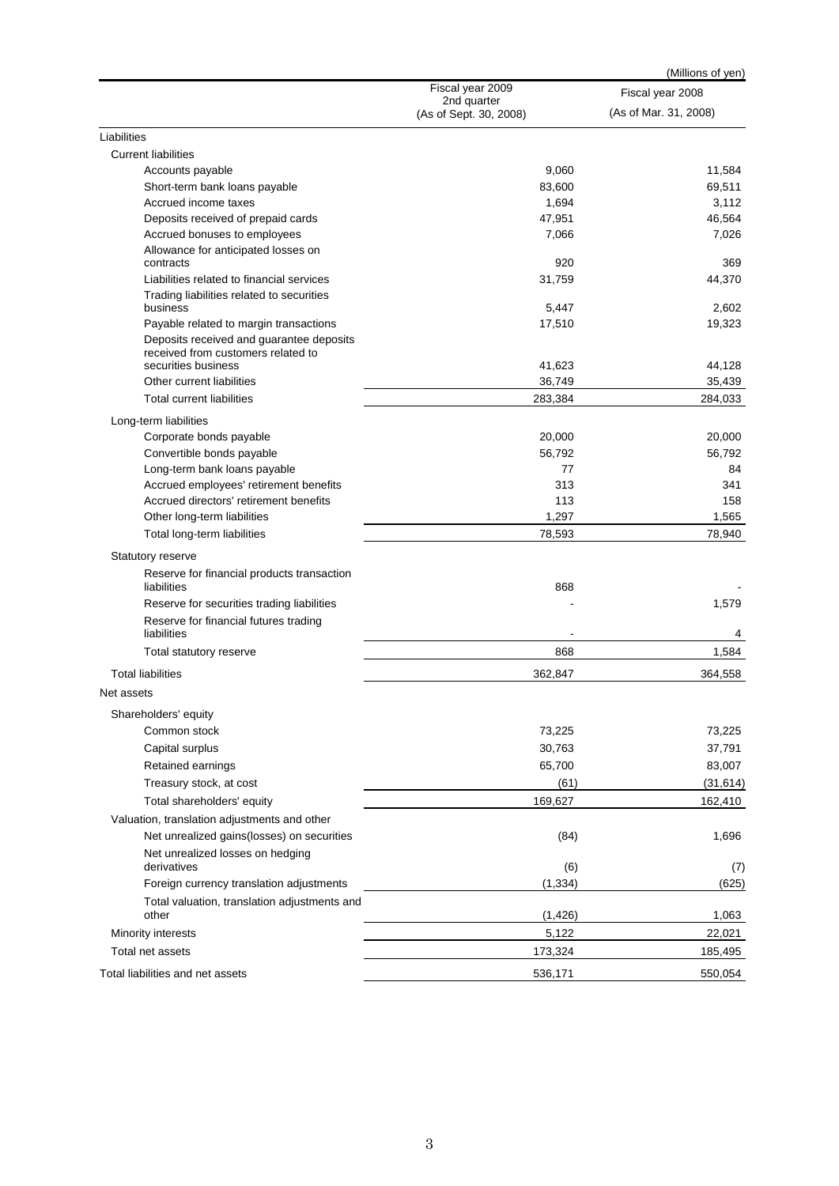| Fiscal year 2009<br>Fiscal year 2008<br>2nd quarter<br>(As of Mar. 31, 2008)<br>(As of Sept. 30, 2008)<br>Liabilities<br><b>Current liabilities</b><br>11,584<br>Accounts payable<br>9,060<br>83,600<br>69,511<br>Short-term bank loans payable<br>Accrued income taxes<br>3,112<br>1,694<br>47,951<br>46,564<br>Deposits received of prepaid cards<br>Accrued bonuses to employees<br>7,026<br>7,066<br>Allowance for anticipated losses on<br>920<br>369<br>contracts<br>31,759<br>44,370<br>Liabilities related to financial services<br>Trading liabilities related to securities<br>business<br>5,447<br>2,602<br>19,323<br>Payable related to margin transactions<br>17,510<br>Deposits received and guarantee deposits<br>received from customers related to<br>securities business<br>41,623<br>44,128<br>Other current liabilities<br>36,749<br>35,439<br>283,384<br>284,033<br>Total current liabilities<br>Long-term liabilities<br>Corporate bonds payable<br>20,000<br>20,000<br>Convertible bonds payable<br>56,792<br>56,792<br>Long-term bank loans payable<br>77<br>84<br>Accrued employees' retirement benefits<br>313<br>341<br>Accrued directors' retirement benefits<br>113<br>158<br>1,297<br>Other long-term liabilities<br>1,565<br>78,593<br>78,940<br>Total long-term liabilities<br>Statutory reserve<br>Reserve for financial products transaction<br>liabilities<br>868<br>Reserve for securities trading liabilities<br>1,579<br>Reserve for financial futures trading<br>liabilities<br>4<br>1,584<br>868<br>Total statutory reserve<br><b>Total liabilities</b><br>362,847<br>364,558<br>Net assets<br>Shareholders' equity<br>Common stock<br>73,225<br>73,225<br>Capital surplus<br>30,763<br>37,791<br>Retained earnings<br>65,700<br>83,007<br>Treasury stock, at cost<br>(61)<br>Total shareholders' equity<br>169,627<br>162,410<br>Valuation, translation adjustments and other<br>Net unrealized gains(losses) on securities<br>1,696<br>(84)<br>Net unrealized losses on hedging<br>derivatives<br>(6)<br>(7)<br>(1, 334)<br>Foreign currency translation adjustments<br>(625)<br>Total valuation, translation adjustments and<br>(1, 426)<br>1,063<br>other<br>Minority interests<br>5,122<br>22,021<br>Total net assets<br>173,324<br>185,495<br>Total liabilities and net assets<br>536,171<br>550,054 |  | (Millions of yen) |
|----------------------------------------------------------------------------------------------------------------------------------------------------------------------------------------------------------------------------------------------------------------------------------------------------------------------------------------------------------------------------------------------------------------------------------------------------------------------------------------------------------------------------------------------------------------------------------------------------------------------------------------------------------------------------------------------------------------------------------------------------------------------------------------------------------------------------------------------------------------------------------------------------------------------------------------------------------------------------------------------------------------------------------------------------------------------------------------------------------------------------------------------------------------------------------------------------------------------------------------------------------------------------------------------------------------------------------------------------------------------------------------------------------------------------------------------------------------------------------------------------------------------------------------------------------------------------------------------------------------------------------------------------------------------------------------------------------------------------------------------------------------------------------------------------------------------------------------------------------------------------------------------------------------------------------------------------------------------------------------------------------------------------------------------------------------------------------------------------------------------------------------------------------------------------------------------------------------------------------------------------------------------------------------------------------------------------------------------------|--|-------------------|
|                                                                                                                                                                                                                                                                                                                                                                                                                                                                                                                                                                                                                                                                                                                                                                                                                                                                                                                                                                                                                                                                                                                                                                                                                                                                                                                                                                                                                                                                                                                                                                                                                                                                                                                                                                                                                                                                                                                                                                                                                                                                                                                                                                                                                                                                                                                                                    |  |                   |
|                                                                                                                                                                                                                                                                                                                                                                                                                                                                                                                                                                                                                                                                                                                                                                                                                                                                                                                                                                                                                                                                                                                                                                                                                                                                                                                                                                                                                                                                                                                                                                                                                                                                                                                                                                                                                                                                                                                                                                                                                                                                                                                                                                                                                                                                                                                                                    |  |                   |
|                                                                                                                                                                                                                                                                                                                                                                                                                                                                                                                                                                                                                                                                                                                                                                                                                                                                                                                                                                                                                                                                                                                                                                                                                                                                                                                                                                                                                                                                                                                                                                                                                                                                                                                                                                                                                                                                                                                                                                                                                                                                                                                                                                                                                                                                                                                                                    |  |                   |
|                                                                                                                                                                                                                                                                                                                                                                                                                                                                                                                                                                                                                                                                                                                                                                                                                                                                                                                                                                                                                                                                                                                                                                                                                                                                                                                                                                                                                                                                                                                                                                                                                                                                                                                                                                                                                                                                                                                                                                                                                                                                                                                                                                                                                                                                                                                                                    |  |                   |
|                                                                                                                                                                                                                                                                                                                                                                                                                                                                                                                                                                                                                                                                                                                                                                                                                                                                                                                                                                                                                                                                                                                                                                                                                                                                                                                                                                                                                                                                                                                                                                                                                                                                                                                                                                                                                                                                                                                                                                                                                                                                                                                                                                                                                                                                                                                                                    |  |                   |
|                                                                                                                                                                                                                                                                                                                                                                                                                                                                                                                                                                                                                                                                                                                                                                                                                                                                                                                                                                                                                                                                                                                                                                                                                                                                                                                                                                                                                                                                                                                                                                                                                                                                                                                                                                                                                                                                                                                                                                                                                                                                                                                                                                                                                                                                                                                                                    |  |                   |
|                                                                                                                                                                                                                                                                                                                                                                                                                                                                                                                                                                                                                                                                                                                                                                                                                                                                                                                                                                                                                                                                                                                                                                                                                                                                                                                                                                                                                                                                                                                                                                                                                                                                                                                                                                                                                                                                                                                                                                                                                                                                                                                                                                                                                                                                                                                                                    |  |                   |
|                                                                                                                                                                                                                                                                                                                                                                                                                                                                                                                                                                                                                                                                                                                                                                                                                                                                                                                                                                                                                                                                                                                                                                                                                                                                                                                                                                                                                                                                                                                                                                                                                                                                                                                                                                                                                                                                                                                                                                                                                                                                                                                                                                                                                                                                                                                                                    |  |                   |
|                                                                                                                                                                                                                                                                                                                                                                                                                                                                                                                                                                                                                                                                                                                                                                                                                                                                                                                                                                                                                                                                                                                                                                                                                                                                                                                                                                                                                                                                                                                                                                                                                                                                                                                                                                                                                                                                                                                                                                                                                                                                                                                                                                                                                                                                                                                                                    |  |                   |
|                                                                                                                                                                                                                                                                                                                                                                                                                                                                                                                                                                                                                                                                                                                                                                                                                                                                                                                                                                                                                                                                                                                                                                                                                                                                                                                                                                                                                                                                                                                                                                                                                                                                                                                                                                                                                                                                                                                                                                                                                                                                                                                                                                                                                                                                                                                                                    |  |                   |
|                                                                                                                                                                                                                                                                                                                                                                                                                                                                                                                                                                                                                                                                                                                                                                                                                                                                                                                                                                                                                                                                                                                                                                                                                                                                                                                                                                                                                                                                                                                                                                                                                                                                                                                                                                                                                                                                                                                                                                                                                                                                                                                                                                                                                                                                                                                                                    |  |                   |
|                                                                                                                                                                                                                                                                                                                                                                                                                                                                                                                                                                                                                                                                                                                                                                                                                                                                                                                                                                                                                                                                                                                                                                                                                                                                                                                                                                                                                                                                                                                                                                                                                                                                                                                                                                                                                                                                                                                                                                                                                                                                                                                                                                                                                                                                                                                                                    |  |                   |
|                                                                                                                                                                                                                                                                                                                                                                                                                                                                                                                                                                                                                                                                                                                                                                                                                                                                                                                                                                                                                                                                                                                                                                                                                                                                                                                                                                                                                                                                                                                                                                                                                                                                                                                                                                                                                                                                                                                                                                                                                                                                                                                                                                                                                                                                                                                                                    |  |                   |
|                                                                                                                                                                                                                                                                                                                                                                                                                                                                                                                                                                                                                                                                                                                                                                                                                                                                                                                                                                                                                                                                                                                                                                                                                                                                                                                                                                                                                                                                                                                                                                                                                                                                                                                                                                                                                                                                                                                                                                                                                                                                                                                                                                                                                                                                                                                                                    |  |                   |
|                                                                                                                                                                                                                                                                                                                                                                                                                                                                                                                                                                                                                                                                                                                                                                                                                                                                                                                                                                                                                                                                                                                                                                                                                                                                                                                                                                                                                                                                                                                                                                                                                                                                                                                                                                                                                                                                                                                                                                                                                                                                                                                                                                                                                                                                                                                                                    |  |                   |
|                                                                                                                                                                                                                                                                                                                                                                                                                                                                                                                                                                                                                                                                                                                                                                                                                                                                                                                                                                                                                                                                                                                                                                                                                                                                                                                                                                                                                                                                                                                                                                                                                                                                                                                                                                                                                                                                                                                                                                                                                                                                                                                                                                                                                                                                                                                                                    |  |                   |
|                                                                                                                                                                                                                                                                                                                                                                                                                                                                                                                                                                                                                                                                                                                                                                                                                                                                                                                                                                                                                                                                                                                                                                                                                                                                                                                                                                                                                                                                                                                                                                                                                                                                                                                                                                                                                                                                                                                                                                                                                                                                                                                                                                                                                                                                                                                                                    |  |                   |
|                                                                                                                                                                                                                                                                                                                                                                                                                                                                                                                                                                                                                                                                                                                                                                                                                                                                                                                                                                                                                                                                                                                                                                                                                                                                                                                                                                                                                                                                                                                                                                                                                                                                                                                                                                                                                                                                                                                                                                                                                                                                                                                                                                                                                                                                                                                                                    |  |                   |
|                                                                                                                                                                                                                                                                                                                                                                                                                                                                                                                                                                                                                                                                                                                                                                                                                                                                                                                                                                                                                                                                                                                                                                                                                                                                                                                                                                                                                                                                                                                                                                                                                                                                                                                                                                                                                                                                                                                                                                                                                                                                                                                                                                                                                                                                                                                                                    |  |                   |
|                                                                                                                                                                                                                                                                                                                                                                                                                                                                                                                                                                                                                                                                                                                                                                                                                                                                                                                                                                                                                                                                                                                                                                                                                                                                                                                                                                                                                                                                                                                                                                                                                                                                                                                                                                                                                                                                                                                                                                                                                                                                                                                                                                                                                                                                                                                                                    |  |                   |
|                                                                                                                                                                                                                                                                                                                                                                                                                                                                                                                                                                                                                                                                                                                                                                                                                                                                                                                                                                                                                                                                                                                                                                                                                                                                                                                                                                                                                                                                                                                                                                                                                                                                                                                                                                                                                                                                                                                                                                                                                                                                                                                                                                                                                                                                                                                                                    |  |                   |
|                                                                                                                                                                                                                                                                                                                                                                                                                                                                                                                                                                                                                                                                                                                                                                                                                                                                                                                                                                                                                                                                                                                                                                                                                                                                                                                                                                                                                                                                                                                                                                                                                                                                                                                                                                                                                                                                                                                                                                                                                                                                                                                                                                                                                                                                                                                                                    |  |                   |
|                                                                                                                                                                                                                                                                                                                                                                                                                                                                                                                                                                                                                                                                                                                                                                                                                                                                                                                                                                                                                                                                                                                                                                                                                                                                                                                                                                                                                                                                                                                                                                                                                                                                                                                                                                                                                                                                                                                                                                                                                                                                                                                                                                                                                                                                                                                                                    |  |                   |
|                                                                                                                                                                                                                                                                                                                                                                                                                                                                                                                                                                                                                                                                                                                                                                                                                                                                                                                                                                                                                                                                                                                                                                                                                                                                                                                                                                                                                                                                                                                                                                                                                                                                                                                                                                                                                                                                                                                                                                                                                                                                                                                                                                                                                                                                                                                                                    |  |                   |
|                                                                                                                                                                                                                                                                                                                                                                                                                                                                                                                                                                                                                                                                                                                                                                                                                                                                                                                                                                                                                                                                                                                                                                                                                                                                                                                                                                                                                                                                                                                                                                                                                                                                                                                                                                                                                                                                                                                                                                                                                                                                                                                                                                                                                                                                                                                                                    |  |                   |
|                                                                                                                                                                                                                                                                                                                                                                                                                                                                                                                                                                                                                                                                                                                                                                                                                                                                                                                                                                                                                                                                                                                                                                                                                                                                                                                                                                                                                                                                                                                                                                                                                                                                                                                                                                                                                                                                                                                                                                                                                                                                                                                                                                                                                                                                                                                                                    |  |                   |
|                                                                                                                                                                                                                                                                                                                                                                                                                                                                                                                                                                                                                                                                                                                                                                                                                                                                                                                                                                                                                                                                                                                                                                                                                                                                                                                                                                                                                                                                                                                                                                                                                                                                                                                                                                                                                                                                                                                                                                                                                                                                                                                                                                                                                                                                                                                                                    |  |                   |
|                                                                                                                                                                                                                                                                                                                                                                                                                                                                                                                                                                                                                                                                                                                                                                                                                                                                                                                                                                                                                                                                                                                                                                                                                                                                                                                                                                                                                                                                                                                                                                                                                                                                                                                                                                                                                                                                                                                                                                                                                                                                                                                                                                                                                                                                                                                                                    |  |                   |
|                                                                                                                                                                                                                                                                                                                                                                                                                                                                                                                                                                                                                                                                                                                                                                                                                                                                                                                                                                                                                                                                                                                                                                                                                                                                                                                                                                                                                                                                                                                                                                                                                                                                                                                                                                                                                                                                                                                                                                                                                                                                                                                                                                                                                                                                                                                                                    |  |                   |
|                                                                                                                                                                                                                                                                                                                                                                                                                                                                                                                                                                                                                                                                                                                                                                                                                                                                                                                                                                                                                                                                                                                                                                                                                                                                                                                                                                                                                                                                                                                                                                                                                                                                                                                                                                                                                                                                                                                                                                                                                                                                                                                                                                                                                                                                                                                                                    |  |                   |
|                                                                                                                                                                                                                                                                                                                                                                                                                                                                                                                                                                                                                                                                                                                                                                                                                                                                                                                                                                                                                                                                                                                                                                                                                                                                                                                                                                                                                                                                                                                                                                                                                                                                                                                                                                                                                                                                                                                                                                                                                                                                                                                                                                                                                                                                                                                                                    |  |                   |
|                                                                                                                                                                                                                                                                                                                                                                                                                                                                                                                                                                                                                                                                                                                                                                                                                                                                                                                                                                                                                                                                                                                                                                                                                                                                                                                                                                                                                                                                                                                                                                                                                                                                                                                                                                                                                                                                                                                                                                                                                                                                                                                                                                                                                                                                                                                                                    |  |                   |
|                                                                                                                                                                                                                                                                                                                                                                                                                                                                                                                                                                                                                                                                                                                                                                                                                                                                                                                                                                                                                                                                                                                                                                                                                                                                                                                                                                                                                                                                                                                                                                                                                                                                                                                                                                                                                                                                                                                                                                                                                                                                                                                                                                                                                                                                                                                                                    |  |                   |
|                                                                                                                                                                                                                                                                                                                                                                                                                                                                                                                                                                                                                                                                                                                                                                                                                                                                                                                                                                                                                                                                                                                                                                                                                                                                                                                                                                                                                                                                                                                                                                                                                                                                                                                                                                                                                                                                                                                                                                                                                                                                                                                                                                                                                                                                                                                                                    |  |                   |
|                                                                                                                                                                                                                                                                                                                                                                                                                                                                                                                                                                                                                                                                                                                                                                                                                                                                                                                                                                                                                                                                                                                                                                                                                                                                                                                                                                                                                                                                                                                                                                                                                                                                                                                                                                                                                                                                                                                                                                                                                                                                                                                                                                                                                                                                                                                                                    |  |                   |
|                                                                                                                                                                                                                                                                                                                                                                                                                                                                                                                                                                                                                                                                                                                                                                                                                                                                                                                                                                                                                                                                                                                                                                                                                                                                                                                                                                                                                                                                                                                                                                                                                                                                                                                                                                                                                                                                                                                                                                                                                                                                                                                                                                                                                                                                                                                                                    |  |                   |
|                                                                                                                                                                                                                                                                                                                                                                                                                                                                                                                                                                                                                                                                                                                                                                                                                                                                                                                                                                                                                                                                                                                                                                                                                                                                                                                                                                                                                                                                                                                                                                                                                                                                                                                                                                                                                                                                                                                                                                                                                                                                                                                                                                                                                                                                                                                                                    |  | (31, 614)         |
|                                                                                                                                                                                                                                                                                                                                                                                                                                                                                                                                                                                                                                                                                                                                                                                                                                                                                                                                                                                                                                                                                                                                                                                                                                                                                                                                                                                                                                                                                                                                                                                                                                                                                                                                                                                                                                                                                                                                                                                                                                                                                                                                                                                                                                                                                                                                                    |  |                   |
|                                                                                                                                                                                                                                                                                                                                                                                                                                                                                                                                                                                                                                                                                                                                                                                                                                                                                                                                                                                                                                                                                                                                                                                                                                                                                                                                                                                                                                                                                                                                                                                                                                                                                                                                                                                                                                                                                                                                                                                                                                                                                                                                                                                                                                                                                                                                                    |  |                   |
|                                                                                                                                                                                                                                                                                                                                                                                                                                                                                                                                                                                                                                                                                                                                                                                                                                                                                                                                                                                                                                                                                                                                                                                                                                                                                                                                                                                                                                                                                                                                                                                                                                                                                                                                                                                                                                                                                                                                                                                                                                                                                                                                                                                                                                                                                                                                                    |  |                   |
|                                                                                                                                                                                                                                                                                                                                                                                                                                                                                                                                                                                                                                                                                                                                                                                                                                                                                                                                                                                                                                                                                                                                                                                                                                                                                                                                                                                                                                                                                                                                                                                                                                                                                                                                                                                                                                                                                                                                                                                                                                                                                                                                                                                                                                                                                                                                                    |  |                   |
|                                                                                                                                                                                                                                                                                                                                                                                                                                                                                                                                                                                                                                                                                                                                                                                                                                                                                                                                                                                                                                                                                                                                                                                                                                                                                                                                                                                                                                                                                                                                                                                                                                                                                                                                                                                                                                                                                                                                                                                                                                                                                                                                                                                                                                                                                                                                                    |  |                   |
|                                                                                                                                                                                                                                                                                                                                                                                                                                                                                                                                                                                                                                                                                                                                                                                                                                                                                                                                                                                                                                                                                                                                                                                                                                                                                                                                                                                                                                                                                                                                                                                                                                                                                                                                                                                                                                                                                                                                                                                                                                                                                                                                                                                                                                                                                                                                                    |  |                   |
|                                                                                                                                                                                                                                                                                                                                                                                                                                                                                                                                                                                                                                                                                                                                                                                                                                                                                                                                                                                                                                                                                                                                                                                                                                                                                                                                                                                                                                                                                                                                                                                                                                                                                                                                                                                                                                                                                                                                                                                                                                                                                                                                                                                                                                                                                                                                                    |  |                   |
|                                                                                                                                                                                                                                                                                                                                                                                                                                                                                                                                                                                                                                                                                                                                                                                                                                                                                                                                                                                                                                                                                                                                                                                                                                                                                                                                                                                                                                                                                                                                                                                                                                                                                                                                                                                                                                                                                                                                                                                                                                                                                                                                                                                                                                                                                                                                                    |  |                   |
|                                                                                                                                                                                                                                                                                                                                                                                                                                                                                                                                                                                                                                                                                                                                                                                                                                                                                                                                                                                                                                                                                                                                                                                                                                                                                                                                                                                                                                                                                                                                                                                                                                                                                                                                                                                                                                                                                                                                                                                                                                                                                                                                                                                                                                                                                                                                                    |  |                   |
|                                                                                                                                                                                                                                                                                                                                                                                                                                                                                                                                                                                                                                                                                                                                                                                                                                                                                                                                                                                                                                                                                                                                                                                                                                                                                                                                                                                                                                                                                                                                                                                                                                                                                                                                                                                                                                                                                                                                                                                                                                                                                                                                                                                                                                                                                                                                                    |  |                   |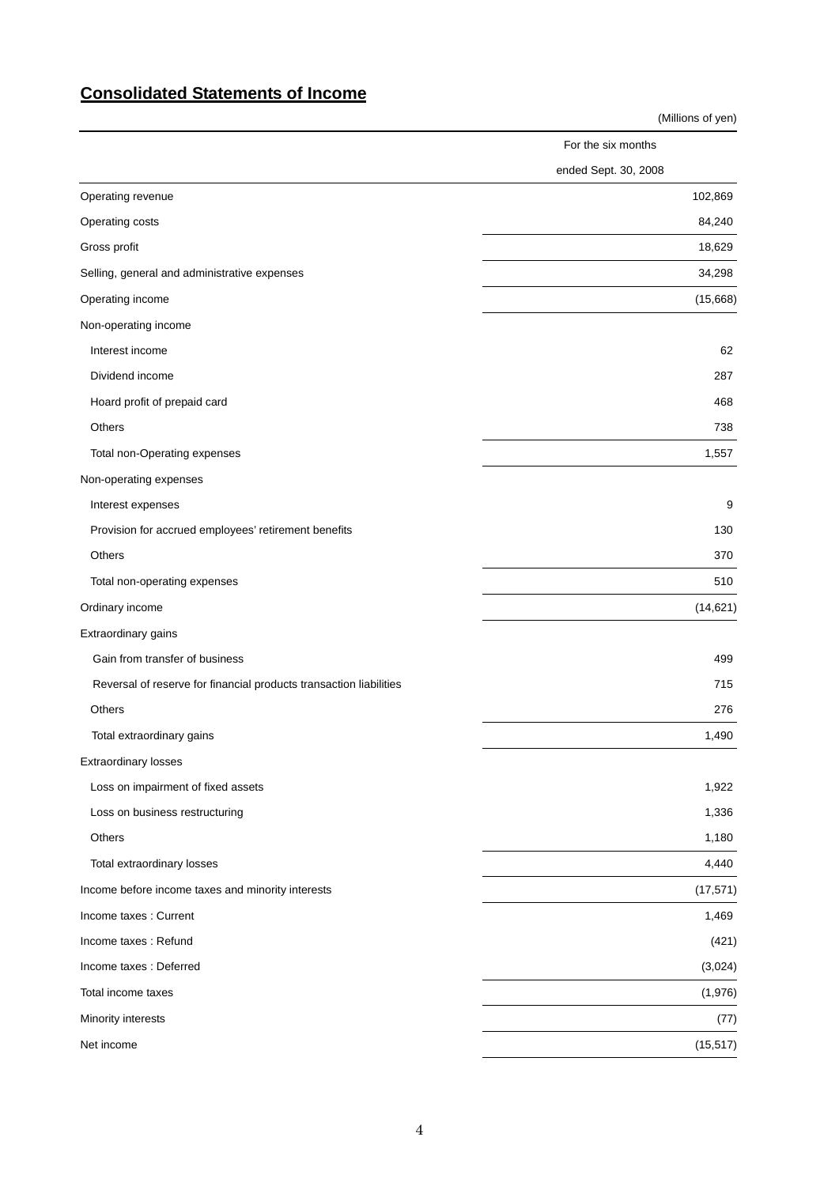## **Consolidated Statements of Income**

|                                                                    | For the six months   |
|--------------------------------------------------------------------|----------------------|
|                                                                    | ended Sept. 30, 2008 |
| Operating revenue                                                  | 102,869              |
| Operating costs                                                    | 84,240               |
| Gross profit                                                       | 18,629               |
| Selling, general and administrative expenses                       | 34,298               |
| Operating income                                                   | (15,668)             |
| Non-operating income                                               |                      |
| Interest income                                                    | 62                   |
| Dividend income                                                    | 287                  |
| Hoard profit of prepaid card                                       | 468                  |
| Others                                                             | 738                  |
| Total non-Operating expenses                                       | 1,557                |
| Non-operating expenses                                             |                      |
| Interest expenses                                                  | 9                    |
| Provision for accrued employees' retirement benefits               | 130                  |
| Others                                                             | 370                  |
| Total non-operating expenses                                       | 510                  |
| Ordinary income                                                    | (14, 621)            |
| Extraordinary gains                                                |                      |
| Gain from transfer of business                                     | 499                  |
| Reversal of reserve for financial products transaction liabilities | 715                  |
| Others                                                             | 276                  |
| Total extraordinary gains                                          | 1,490                |
| <b>Extraordinary losses</b>                                        |                      |
| Loss on impairment of fixed assets                                 | 1,922                |
| Loss on business restructuring                                     | 1,336                |
| Others                                                             | 1,180                |
| Total extraordinary losses                                         | 4,440                |
| Income before income taxes and minority interests                  | (17, 571)            |
| Income taxes : Current                                             | 1,469                |
| Income taxes : Refund                                              | (421)                |

Income taxes : Deferred (3,024)

Total income taxes (1,976)

Minority interests (77)

Net income (15,517)

(Millions of yen)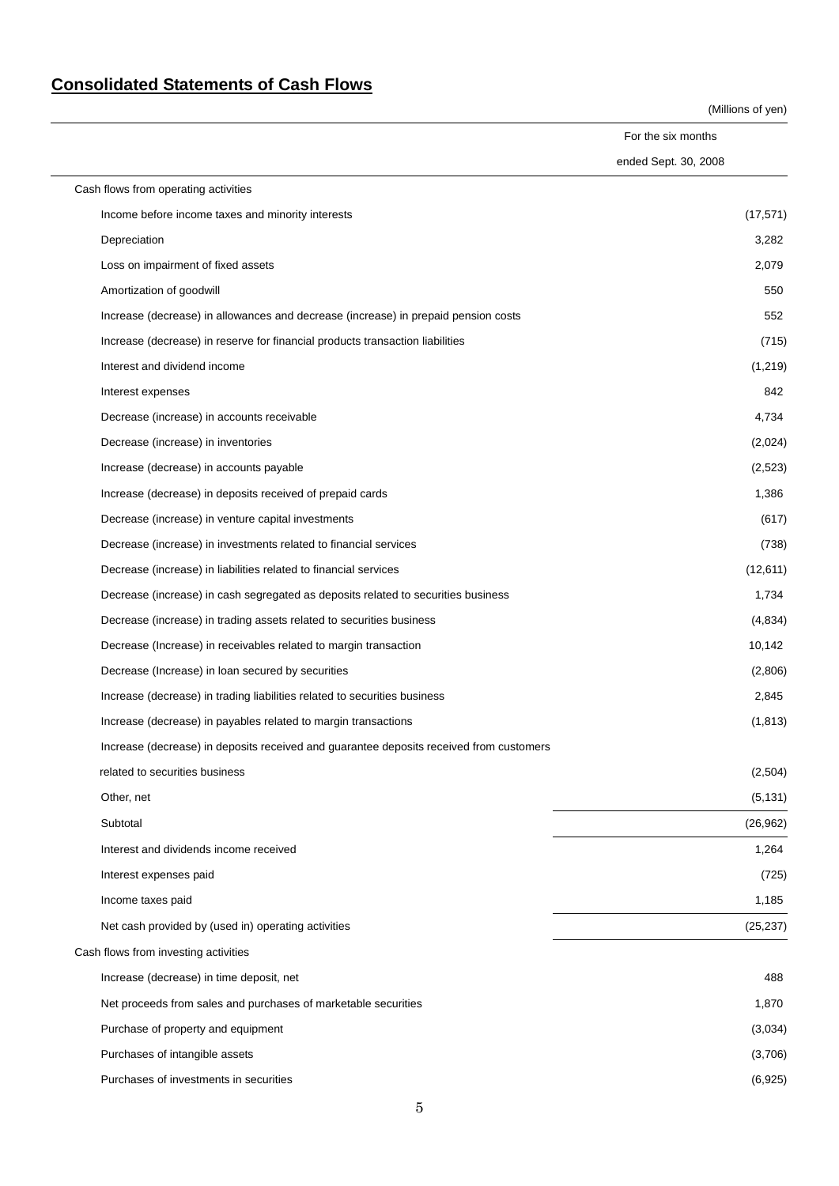# **Consolidated Statements of Cash Flows**

(Millions of yen)

|                                                                                         | For the six months   |           |
|-----------------------------------------------------------------------------------------|----------------------|-----------|
|                                                                                         | ended Sept. 30, 2008 |           |
| Cash flows from operating activities                                                    |                      |           |
| Income before income taxes and minority interests                                       |                      | (17, 571) |
| Depreciation                                                                            |                      | 3,282     |
| Loss on impairment of fixed assets                                                      |                      | 2,079     |
| Amortization of goodwill                                                                |                      | 550       |
| Increase (decrease) in allowances and decrease (increase) in prepaid pension costs      |                      | 552       |
| Increase (decrease) in reserve for financial products transaction liabilities           |                      | (715)     |
| Interest and dividend income                                                            |                      | (1, 219)  |
| Interest expenses                                                                       |                      | 842       |
| Decrease (increase) in accounts receivable                                              |                      | 4,734     |
| Decrease (increase) in inventories                                                      |                      | (2,024)   |
| Increase (decrease) in accounts payable                                                 |                      | (2,523)   |
| Increase (decrease) in deposits received of prepaid cards                               |                      | 1,386     |
| Decrease (increase) in venture capital investments                                      |                      | (617)     |
| Decrease (increase) in investments related to financial services                        |                      | (738)     |
| Decrease (increase) in liabilities related to financial services                        |                      | (12, 611) |
| Decrease (increase) in cash segregated as deposits related to securities business       |                      | 1,734     |
| Decrease (increase) in trading assets related to securities business                    |                      | (4,834)   |
| Decrease (Increase) in receivables related to margin transaction                        |                      | 10,142    |
| Decrease (Increase) in loan secured by securities                                       |                      | (2,806)   |
| Increase (decrease) in trading liabilities related to securities business               |                      | 2,845     |
| Increase (decrease) in payables related to margin transactions                          |                      | (1, 813)  |
| Increase (decrease) in deposits received and guarantee deposits received from customers |                      |           |
| related to securities business                                                          |                      | (2,504)   |
| Other, net                                                                              |                      | (5, 131)  |
| Subtotal                                                                                |                      | (26, 962) |
| Interest and dividends income received                                                  |                      | 1,264     |
| Interest expenses paid                                                                  |                      | (725)     |
| Income taxes paid                                                                       |                      | 1,185     |
| Net cash provided by (used in) operating activities                                     |                      | (25, 237) |
| Cash flows from investing activities                                                    |                      |           |
| Increase (decrease) in time deposit, net                                                |                      | 488       |
| Net proceeds from sales and purchases of marketable securities                          |                      | 1,870     |
| Purchase of property and equipment                                                      |                      | (3,034)   |
| Purchases of intangible assets                                                          |                      | (3,706)   |
| Purchases of investments in securities                                                  |                      | (6,925)   |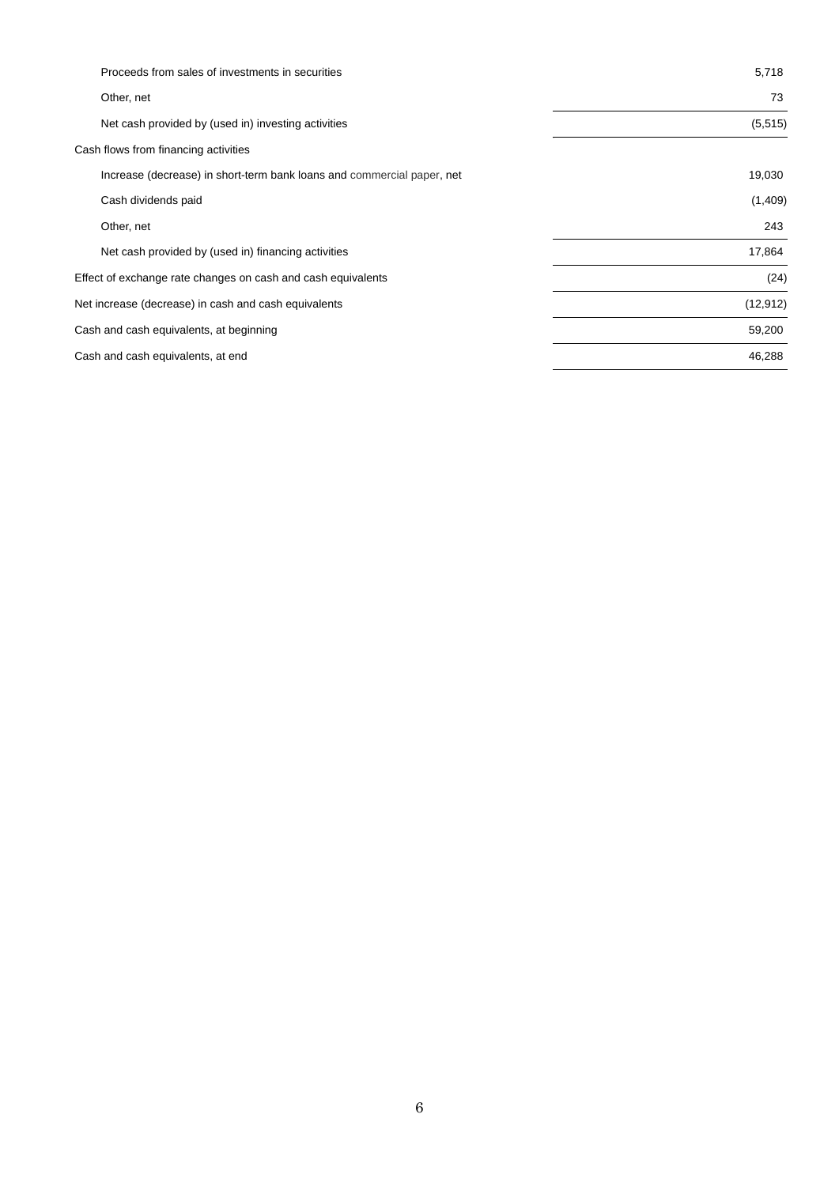| Proceeds from sales of investments in securities                       | 5,718     |
|------------------------------------------------------------------------|-----------|
| Other, net                                                             | 73        |
| Net cash provided by (used in) investing activities                    | (5, 515)  |
| Cash flows from financing activities                                   |           |
| Increase (decrease) in short-term bank loans and commercial paper, net | 19,030    |
| Cash dividends paid                                                    | (1,409)   |
| Other, net                                                             | 243       |
| Net cash provided by (used in) financing activities                    | 17,864    |
| Effect of exchange rate changes on cash and cash equivalents           | (24)      |
| Net increase (decrease) in cash and cash equivalents                   | (12, 912) |
| Cash and cash equivalents, at beginning                                | 59,200    |
| Cash and cash equivalents, at end                                      | 46,288    |